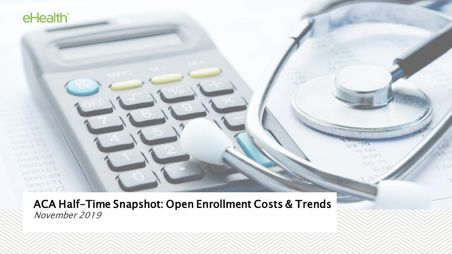ACA Half-Time Snapshot: Open Enrollment Costs & Trends November 2019

a ac  $O_{12}$ 

 $K_{\rm tot}$ 

eHealth<sup>®</sup>

 $000100$ 

 $000163$  $000169$  $000171$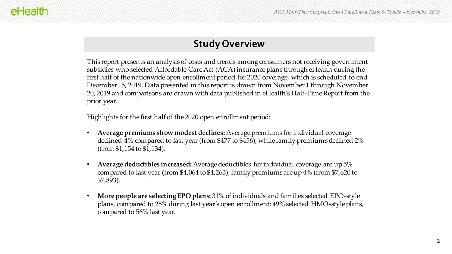### Study Overview

This report presents an analysis of costs and trends among consumers not receiving government subsidies who selected Affordable Care Act (ACA) insurance plans through eHealth during the first half of the nationwide open enrollment period for 2020 coverage, which is scheduled to end December 15, 2019. Data presented in this report is drawn from November 1 through November 20, 2019 and comparisons are drawn with data published in eHealth's Half-Time Report from the prior year.

Highlights for the first half of the 2020 open enrollment period:

- **Average premiums show modest declines:** Average premiums for individual coverage declined 4% compared to last year (from \$477 to \$456), while family premiums declined 2% (from \$1,154 to \$1,134).
- **Average deductibles increased:** Average deductibles for individual coverage are up 5% compared to last year (from \$4,064 to \$4,263); family premiums are up 4% (from \$7,620 to \$7,893).
- **More people are selecting EPO plans:** 31% of individuals and families selected EPO-style plans, compared to 25% during last year's open enrollment; 49% selected HMO-style plans, compared to 56% last year.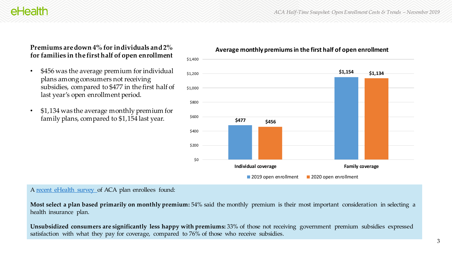### **Premiums are down 4% for individuals and 2% for families in the first half of open enrollment**

- \$456 was the average premium for individual plans among consumers not receiving subsidies, compared to \$477 in the first half of last year's open enrollment period.
- \$1,134 was the average monthly premium for family plans, compared to \$1,154 last year.





#### A [recent eHealth survey o](https://news.ehealthinsurance.com/_ir/68/201910/eHealth_ACA_Choices_Survey_for_Open_Enrollment_2020.pdf)f ACA plan enrollees found:

**Most select a plan based primarily on monthly premium:** 54% said the monthly premium is their most important consideration in selecting a health insurance plan.

**Unsubsidized consumers are significantly less happy with premiums:** 33% of those not receiving government premium subsidies expressed satisfaction with what they pay for coverage, compared to 76% of those who receive subsidies.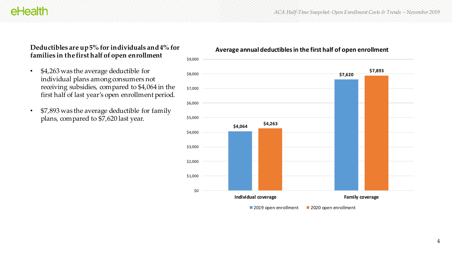*ACA Half-Time Snapshot: Open Enrollment Costs & Trends – November 2019*

## eHealth

### **Deductibles are up 5% for individuals and 4% for families in the first half of open enrollment**

- \$4,263 was the average deductible for individual plans among consumers not receiving subsidies, compared to \$4,064 in the first half of last year's open enrollment period.
- \$7,893 was the average deductible for family plans, compared to \$7,620 last year.

#### **Average annual deductibles in the first half of open enrollment**

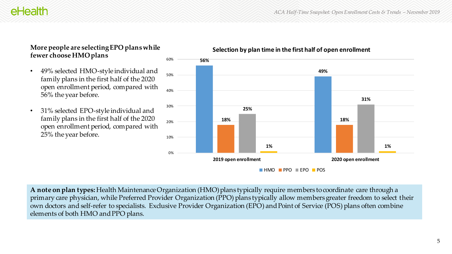## eHealth

### **More people are selecting EPO plans while fewer choose HMO plans**

- 49% selected HMO-style individual and family plans in the first half of the 2020 open enrollment period, compared with 56% the year before.
- 31% selected EPO-style individual and family plans in the first half of the 2020 open enrollment period, compared with 25% the year before.



**Selection by plan time in the first half of open enrollment**

**A note on plan types:** Health Maintenance Organization (HMO) plans typically require members to coordinate care through a primary care physician, while Preferred Provider Organization (PPO) plans typically allow members greater freedom to select their own doctors and self-refer to specialists. Exclusive Provider Organization (EPO) and Point of Service (POS) plans often combine elements of both HMO and PPO plans.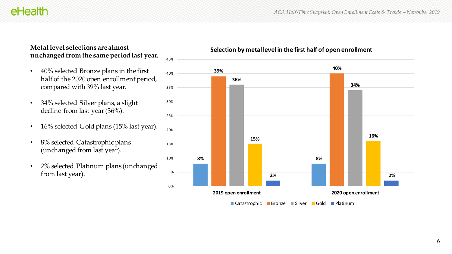eHealth

### **Metal level selections are almost unchanged from the same period last year.**

- 40% selected Bronze plans in the first half of the 2020 open enrollment period, compared with 39% last year.
- 34% selected Silver plans, a slight decline from last year (36%).
- 16% selected Gold plans (15% last year).
- 8% selected Catastrophic plans (unchanged from last year).
- 2% selected Platinum plans (unchanged from last year).



### **Selection by metal level in the first half of open enrollment**

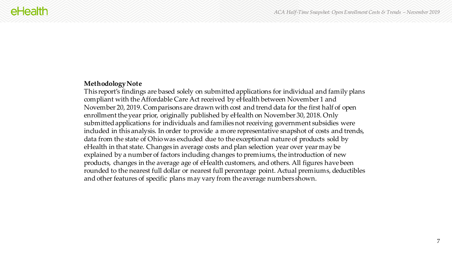#### **Methodology Note**

This report's findings are based solely on submitted applications for individual and family plans compliant with the Affordable Care Act received by eHealth between November 1 and November 20, 2019. Comparisons are drawn with cost and trend data for the first half of open enrollment the year prior, originally published by eHealth on November 30, 2018. Only submitted applications for individuals and families not receiving government subsidies were included in this analysis. In order to provide a more representative snapshot of costs and trends, data from the state of Ohio was excluded due to the exceptional nature of products sold by eHealth in that state. Changes in average costs and plan selection year over year may be explained by a number of factors including changes to premiums, the introduction of new products, changes in the average age of eHealth customers, and others. All figures have been rounded to the nearest full dollar or nearest full percentage point. Actual premiums, deductibles and other features of specific plans may vary from the average numbers shown.